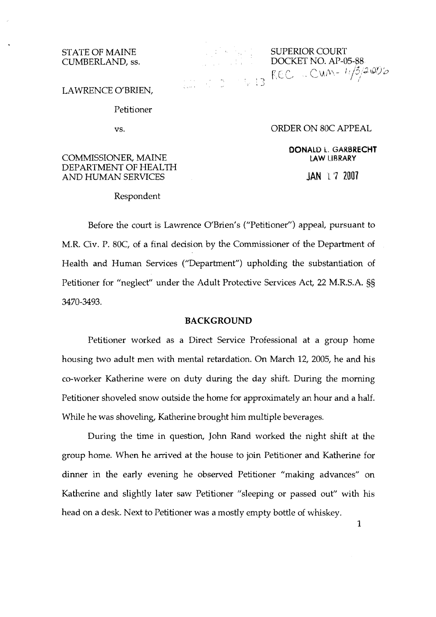# CUMBERLAND, ss.

STATE OF MAINE SUPERIOR COURT<br>CUMBERLAND, ss. DOCKET NO. AP-05-88 DOCKET NO. AP-05-88<br>  $R\in\mathbb{C}$   $\sim$   $\mathbb{C}$   $\mathbb{W}$   $\sim$   $\frac{1}{3}$   $\frac{3}{4}$   $\mathbb{O}$ 

LAWRENCE O'BRIEN,

Petitioner

VS.

## ORDER ON 80C APPEAL

**DONALD L. GARBRECHT LAW LIBRARY** 

**JAN** L **'7** 2007

## COMMISSIONER, MAINE DEPARTMENT OF HEALTH AND HUMAN SERVICES

#### Respondent

Before the court is Lawrence O'Brien's ("Petitioner") appeal, pursuant to M.R. Civ. P. 80C, of a final decision by the Commissioner of the Department of Health and Human Services ("Department") upholding the substantiation of Petitioner for "neglect" under the Adult Protective Services Act, 22 M.R.S.A. SS 3470-3493.

# **BACKGROUND**

Petitioner worked as a Direct Service Professional at a group home housing two adult men with mental retardation. On March 12, 2005, he and his co-worker Katherine were on duty during the day shift. During the morning Petitioner shoveled snow outside the home for approximately an hour and a half. While he was shoveling, Katherine brought him multiple beverages.

During the time in question, John Rand worked the night shift at the group home. When he arrived at the house to join Petitioner and Katherine for dinner in the early evening he observed Petitioner "making advances" on Katherine and slightly later saw Petitioner "sleeping or passed out" with his head on a desk. Next to Petitioner was a mostly empty bottle of whiskey.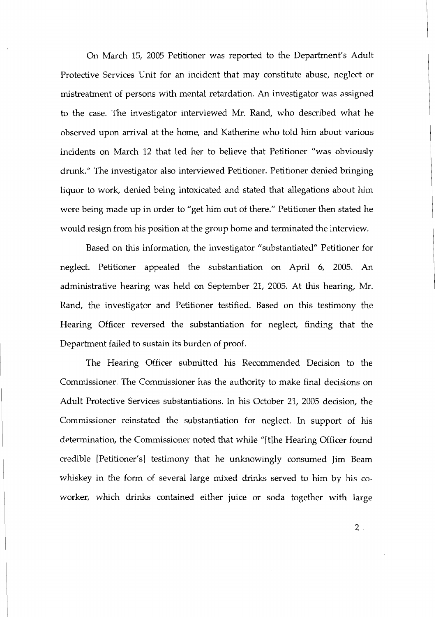On March 15, 2005 Petitioner was reported to the Department's Adult Protective Services Unit for an incident that may constitute abuse, neglect or mistreatment of persons with mental retardation. An investigator was assigned to the case. The investigator interviewed Mr. Rand, who described what he observed upon arrival at the home, and Katherine who told him about various incidents on March 12 that led her to believe that Petitioner "was obviously drunk." The investigator also interviewed Petitioner. Petitioner denied bringing liquor to work, denied being intoxicated and stated that allegations about him were being made up in order to "get him out of there." Petitioner then stated he would resign from his position at the group home and terminated the interview.

Based on this information, the investigator "substantiated" Petitioner for neglect. Petitioner appealed the substantiation on April 6, 2005. An administrative hearing was held on September 21, 2005. At this hearing, Mr. Rand, the investigator and Petitioner testified. Based on this testimony the Hearing Officer reversed the substantiation for neglect, finding that the Department failed to sustain its burden of proof.

The Hearing Officer submitted his Recommended Decision to the Commissioner. The Commissioner has the authority to make final decisions on Adult Protective Services substantiations. In his October 21, 2005 decision, the Commissioner reinstated the substantiation for neglect. In support of his determination, the Commissioner noted that whle "[tlhe Hearing Officer found credible [Petitioner's] testimony that he unknowingly consumed Jim Beam whiskey in the form of several large mixed drinks served to him by his coworker, which drinks contained either juice or soda together with large

 $2<sub>1</sub>$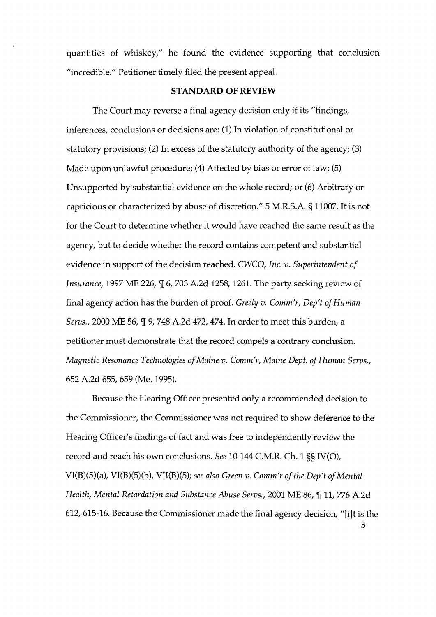quantities of whskey," he found the evidence supporting that conclusion "incredible." Petitioner timely filed the present appeal.

# **STANDARD** OF **REVIEW**

The Court may reverse a final agency decision only if its "findings, inferences, conclusions or decisions are: (1) In violation of constitutional or statutory provisions; (2) In excess of the statutory authority of the agency; (3) Made upon unlawful procedure; (4) Affected by bias or error of law; (5) Unsupported by substantial evidence on the whole record; or (6) Arbitrary or capricious or characterized by abuse of discretion." 5 M.R.S.A. § 11007. It is not for the Court to determine whether it would have reached the same result as the agency, but to decide whether the record contains competent and substantial evidence in support of the decision reached. CWCO, Inc. v. Superintendent of Insurance, 1997 ME 226,  $\P$  6, 703 A.2d 1258, 1261. The party seeking review of final agency action has the burden of proof. Greely  $v$ . Comm'r, Dep't of Human Servs., 2000 ME 56,  $\frac{1}{2}$  9, 748 A.2d 472, 474. In order to meet this burden, a petitioner must demonstrate that the record compels a contrary conclusion. Magnetic Resonance Technologies of Maine v. Comm'r, Maine Dept. of Human Servs., 652 A.2d 655,659 (Me. 1995).

Because the Hearing Officer presented only a recommended decision to the Commissioner, the Commissioner was not required to show deference to the Hearing Officer's findings of fact and was free to independently review the record and reach his own conclusions. See 10-144 C.M.R. Ch. 1 SS IV(O),  $VI(B)(5)(a)$ ,  $VI(B)(5)(b)$ ,  $VI(B)(5)$ ; see also Green v. Comm'r of the Dep't of Mental Health, Mental Retardation and Substance Abuse Servs., 2001 ME 86, ¶ 11, 776 A.2d 612, 615-16. Because the Commissioner made the final agency decision, "[ilt is the **3**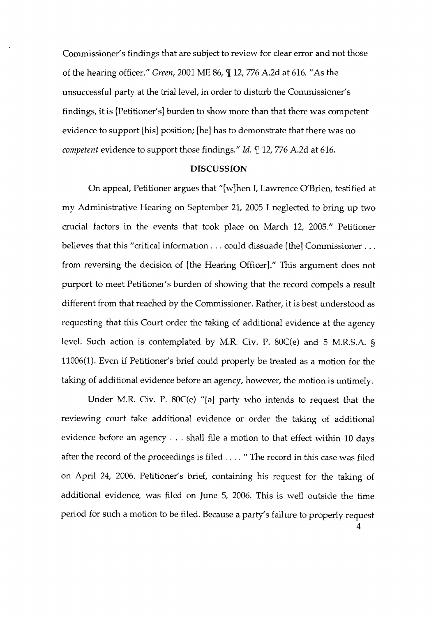Commissioner's findings that are subject to review for clear error and not those of the hearing officer." Green, 2001 ME 86,  $\P$  12, 776 A.2d at 616. "As the unsuccessful party at the trial level, in order to disturb the Commissioner's findings, it is [Petitioner's] burden to show more than that there was competent evidence to support [his] position; [he] has to demonstrate that there was no competent evidence to support those findings." Id. ¶ 12, 776 A.2d at 616.

## **DISCUSSION**

On appeal, Petitioner argues that "[wlhen I, Lawrence O'Brien, testified at my Administrative Hearing on September 21, 2005 I neglected to bring up two crucial factors in the events that took place on March 12, 2005." Petitioner believes that this "critical information. . . could dissuade [the] Commissioner . . . from reversing the decision of [the Hearing Officer]." This argument does not purport to meet Petitioner's burden of showing that the record compels a result different from that reached by the Commissioner. Rather, it is best understood as requesting that this Court order the taking of additional evidence at the agency level. Such action is contemplated by M.R. Civ. P. 80C(e) and 5 M.R.S.A. *5*  11006(1). Even if Petitioner's brief could properly be treated as a motion for the taking of additional evidence before an agency, however, the motion is untimely.

Under M.R. Civ. P. 80C(e) "[a] party who intends to request that the reviewing court take additional evidence or order the taking of additional evidence before an agency . . . shall file a motion to that effect within 10 days after the record of the proceedings is filed . . . . " The record in this case was filed on April 24, 2006. Petitioner's brief, containing his request for the taking of additional evidence, was filed on June 5, 2006. This is well outside the time period for such a motion to be filed. Because a party's failure to properly request 4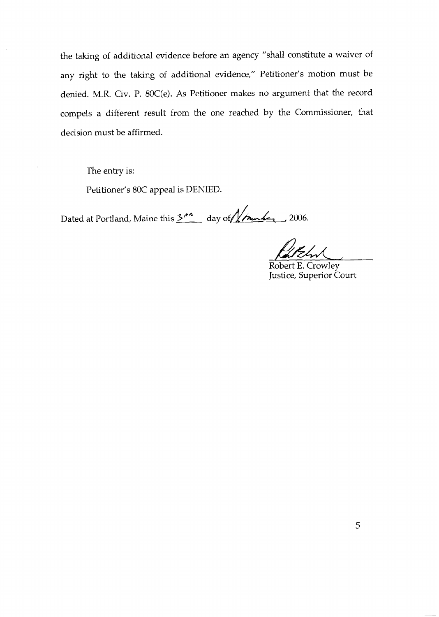the taking of additional evidence before an agency "shall constitute a waiver of any right to the taking of additional evidence," Petitioner's motion must be denied. M.R. Civ. P. 80C(e). As Petitioner makes no argument that the record compels a different result from the one reached by the Commissioner, that decision must be affirmed.

The entry is:

Petitioner's 80C appeal is DENIED.

Dated at Portland, Maine this 3<sup>11</sup> day of //mules 2006.

Robert E. Crowley Justice, Superior Court

5